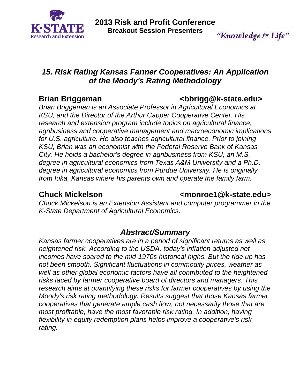

"Knowledge for Life"

# *15. Risk Rating Kansas Farmer Cooperatives: An Application of the Moody's Rating Methodology*

## **Brian Briggeman**  $\leftarrow$  **bbrigg@k-state.edu>**

*Brian Briggeman is an Associate Professor in Agricultural Economics at KSU, and the Director of the Arthur Capper Cooperative Center. His research and extension program include topics on agricultural finance, agribusiness and cooperative management and macroeconomic implications for U.S. agriculture. He also teaches agricultural finance. Prior to joining KSU, Brian was an economist with the Federal Reserve Bank of Kansas City. He holds a bachelor's degree in agribusiness from KSU, an M.S. degree in agricultural economics from Texas A&M University and a Ph.D. degree in agricultural economics from Purdue University. He is originally from Iuka, Kansas where his parents own and operate the family farm.* 

### **Chuck Mickelson Chuck Mickelson** <monroe1@k-state.edu>

*Chuck Mickelson is an Extension Assistant and computer programmer in the K-State Department of Agricultural Economics.* 

# *Abstract/Summary*

*Kansas farmer cooperatives are in a period of significant returns as well as heightened risk. According to the USDA, today's inflation adjusted net incomes have soared to the mid-1970s historical highs. But the ride up has not been smooth. Significant fluctuations in commodity prices, weather as well as other global economic factors have all contributed to the heightened risks faced by farmer cooperative board of directors and managers. This research aims at quantifying these risks for farmer cooperatives by using the Moody's risk rating methodology. Results suggest that those Kansas farmer cooperatives that generate ample cash flow, not necessarily those that are most profitable, have the most favorable risk rating. In addition, having flexibility in equity redemption plans helps improve a cooperative's risk rating.*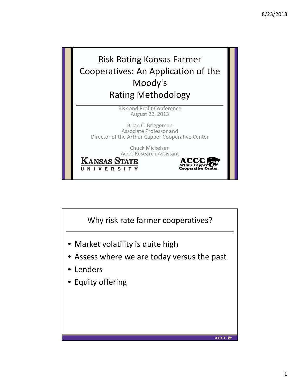

Chuck Mickelsen ACCC Research Assistant

ACCC<br>Arthur Capper

**KANSAS STATE** UNIVERSITY

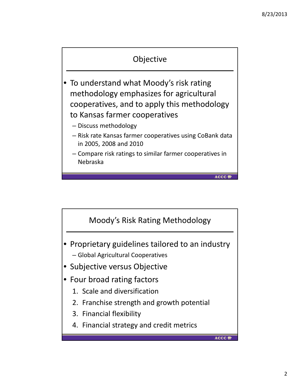

- To understand what Moody's risk rating methodology emphasizes for agricultural cooperatives, and to apply this methodology to Kansas farmer cooperatives
	- Discuss methodology
	- Risk rate Kansas farmer cooperatives using CoBank data in 2005, 2008 and 2010

**ACCC** 

– Compare risk ratings to similar farmer cooperatives in Nebraska

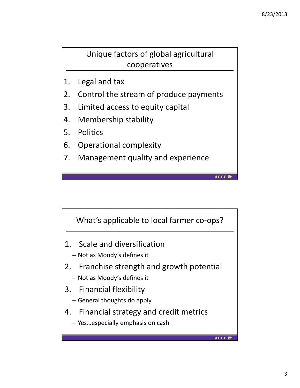**ACCC** 

Unique factors of global agricultural cooperatives

- 1. Legal and tax
- 2. Control the stream of produce payments
- 3. Limited access to equity capital
- 4. Membership stability
- 5. Politics
- 6. Operational complexity
- 7. Management quality and experience

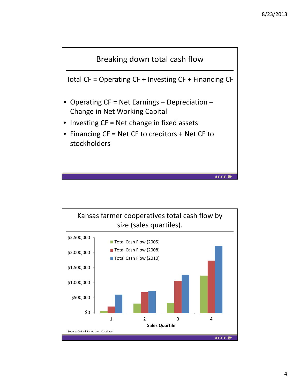

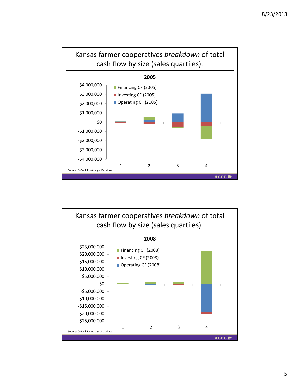

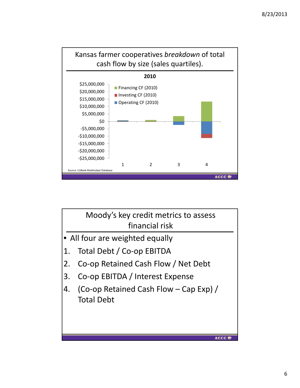

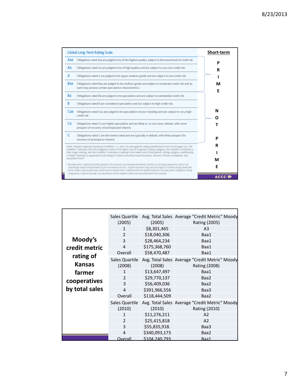|     | Global Long-Term Rating Scale                                                                                                                                                                                                                                                                                                                                                                                                                                                                                                               | Short-term  |
|-----|---------------------------------------------------------------------------------------------------------------------------------------------------------------------------------------------------------------------------------------------------------------------------------------------------------------------------------------------------------------------------------------------------------------------------------------------------------------------------------------------------------------------------------------------|-------------|
| Aaa | Obligations rated Aaa are judged to be of the highest quality, subject to the lowest level of credit risk.                                                                                                                                                                                                                                                                                                                                                                                                                                  | P           |
| Aa  | Obligations rated Aa are judged to be of high quality and are subject to very low credit risk.                                                                                                                                                                                                                                                                                                                                                                                                                                              | R           |
| А   | Obligations rated A are judged to be upper-medium grade and are subject to low credit risk.                                                                                                                                                                                                                                                                                                                                                                                                                                                 |             |
| Baa | Obligations rated Baa are judged to be medium-grade and subject to moderate credit risk and as<br>such may possess certain speculative characteristics.                                                                                                                                                                                                                                                                                                                                                                                     | М<br>F      |
| Ba  | Obligations rated Ba are judged to be speculative and are subject to substantial credit risk.                                                                                                                                                                                                                                                                                                                                                                                                                                               |             |
| B   | Obligations rated B are considered speculative and are subject to high credit risk.                                                                                                                                                                                                                                                                                                                                                                                                                                                         |             |
| Caa | Obligations rated Caa are judged to be speculative of poor standing and are subject to very high<br>credit risk.                                                                                                                                                                                                                                                                                                                                                                                                                            | N           |
| Ca  | Obligations rated Ca are highly speculative and are likely in, or very near, default, with some<br>prospect of recovery of principal and interest.                                                                                                                                                                                                                                                                                                                                                                                          | ი           |
|     | Obligations rated C are the lowest rated and are typically in default, with little prospect for<br>recovery of principal or interest.                                                                                                                                                                                                                                                                                                                                                                                                       | P           |
|     | Note: Moody's appends numerical modifiers 1, 2, and 3 to each generic rating classification from Aa through Caa. The<br>modifier 1 indicates that the obligation ranks in the higher end of its generic rating category; the modifier 2 indicates a<br>mid-range ranking; and the modifier 3 indicates a ranking in the lower end of that generic rating category. Additionally,<br>a "(hyb)" Indicator is appended to all ratings of hybrid securities issued by banks, insurers, finance companies, and<br>securities firms. <sup>*</sup> | R<br>М      |
|     | * By their terms, hybrid securities allow for the omission of scheduled dividends, interest, or principal payments, which can<br>potentially result in impairment if such an omission occurs. Hybrid securities may also be subject to contractually allowable<br>write-downs of principal that couldresult in impairment. Together with the hybrid indicator, the long-term obligation rating<br>assigned to a hybrid security is an expression of the relative credit risk associated with that security.                                 | Е           |
|     |                                                                                                                                                                                                                                                                                                                                                                                                                                                                                                                                             | <b>ACCC</b> |

|                            | Sales Quartile           |               | Avg. Total Sales Average "Credit Metric" Moody                         |
|----------------------------|--------------------------|---------------|------------------------------------------------------------------------|
|                            | (2005)                   | (2005)        | Rating (2005)                                                          |
|                            | 1                        | \$8,301,465   | A <sub>3</sub>                                                         |
|                            | $\overline{2}$           | \$18,040,306  | Baa1                                                                   |
| Moody's                    | 3                        | \$28,464,234  | Baa1                                                                   |
| credit metric              | 4                        | \$175,368,760 | Baa1                                                                   |
|                            | Overall                  | \$58,470,487  | Baa1                                                                   |
| rating of<br><b>Kansas</b> | Sales Quartile<br>(2008) | (2008)        | Avg. Total Sales Average "Credit Metric" Moody<br><b>Rating (2008)</b> |
| farmer                     | $\mathbf{1}$             | \$13,647,497  | Baa1                                                                   |
|                            | $\mathcal{P}$            | \$29,770,137  | Baa2                                                                   |
| cooperatives               | 3                        | \$56,409,036  | Baa2                                                                   |
| by total sales             | 4                        | \$391,966,556 | Baa3                                                                   |
|                            | Overall                  | \$118,444,509 | Baa2                                                                   |
|                            | Sales Quartile<br>(2010) | (2010)        | Avg. Total Sales Average "Credit Metric" Moody<br>Rating (2010)        |
|                            | $\mathbf{1}$             | \$11,276,211  | A2                                                                     |
|                            | $\overline{2}$           | \$25,415,818  | A2                                                                     |
|                            | 3                        | \$55,835,918. | Baa3                                                                   |
|                            | 4                        | \$340,093,173 | Baa2                                                                   |
|                            | Overall                  | \$104,240,793 | Baa1                                                                   |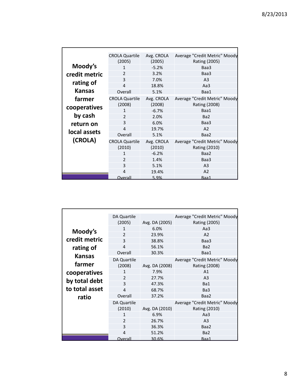|               | <b>CROLA Quartile</b><br>(2005) | Avg. CROLA<br>(2005) | Average "Credit Metric" Moody<br>Rating (2005) |
|---------------|---------------------------------|----------------------|------------------------------------------------|
| Moody's       | 1                               | $-5.2%$              | Baa3                                           |
| credit metric | 2                               | 3.2%                 | Baa3                                           |
|               | 3                               | 7.0%                 | A <sub>3</sub>                                 |
| rating of     | $\overline{a}$                  | 18.8%                | Aa3                                            |
| <b>Kansas</b> | Overall                         | 5.1%                 | Baa1                                           |
| farmer        | <b>CROLA Quartile</b><br>(2008) | Avg. CROLA<br>(2008) | Average "Credit Metric" Moody<br>Rating (2008) |
| cooperatives  | 1                               | $-6.7%$              | Baa1                                           |
| by cash       | $\overline{2}$                  | 2.0%                 | Ba <sub>2</sub>                                |
| return on     | 3                               | 6.0%                 | Baa3                                           |
|               | 4                               | 19.7%                | A <sub>2</sub>                                 |
| local assets  | Overall                         | 5.1%                 | Baa2                                           |
| (CROLA)       | <b>CROLA Quartile</b><br>(2010) | Avg. CROLA<br>(2010) | Average "Credit Metric" Moody<br>Rating (2010) |
|               | 1                               | $-6.2%$              | Baa2                                           |
|               | $\overline{2}$                  | 1.4%                 | Baa3                                           |
|               | 3                               | 5.1%                 | A <sub>3</sub>                                 |
|               | 4                               | 19.4%                | A2                                             |
|               | Overall                         | 5.9%                 | Baa1                                           |

|                | <b>DA Quartile</b> |                | Average "Credit Metric" Moody |
|----------------|--------------------|----------------|-------------------------------|
|                | (2005)             | Avg. DA (2005) | Rating (2005)                 |
| Moody's        | 1                  | 6.0%           | Aa $3$                        |
|                | $\overline{2}$     | 23.9%          | A <sub>2</sub>                |
| credit metric  | 3                  | 38.8%          | Baa3                          |
| rating of      | 4                  | 56.1%          | Ba <sub>2</sub>               |
| <b>Kansas</b>  | Overall            | 30.3%          | Baa1                          |
|                | DA Quartile        |                | Average "Credit Metric" Moody |
| farmer         | (2008)             | Avg. DA (2008) | Rating (2008)                 |
| cooperatives   | $\mathbf{1}$       | 7.9%           | A1                            |
| by total debt  | $\mathcal{P}$      | 27.7%          | A <sub>3</sub>                |
|                | 3                  | 47.3%          | Ba1                           |
| to total asset | 4                  | 68.7%          | Ba <sub>3</sub>               |
| ratio          | Overall            | 37.2%          | Baa2                          |
|                | DA Quartile        |                | Average "Credit Metric" Moody |
|                | (2010)             | Avg. DA (2010) | Rating (2010)                 |
|                | $\mathbf{1}$       | 6.9%           | Aa3                           |
|                | $\mathcal{P}$      | 26.7%          | A <sub>3</sub>                |
|                | 3                  | 36.3%          | Baa2                          |
|                | 4                  | 51.2%          | Ba <sub>2</sub>               |
|                | Overall            | 30.6%          | Baa1                          |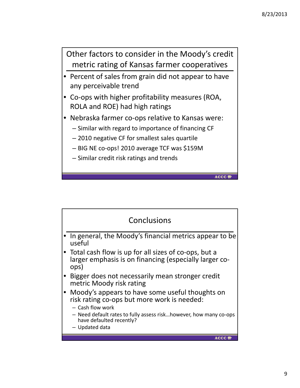Other factors to consider in the Moody's credit metric rating of Kansas farmer cooperatives

- Percent of sales from grain did not appear to have any perceivable trend
- Co-ops with higher profitability measures (ROA, ROLA and ROE) had high ratings
- Nebraska farmer co-ops relative to Kansas were:
	- Similar with regard to importance of financing CF
	- 2010 negative CF for smallest sales quartile
	- BIG NE co‐ops! 2010 average TCF was \$159M
	- Similar credit risk ratings and trends

**ACCC**